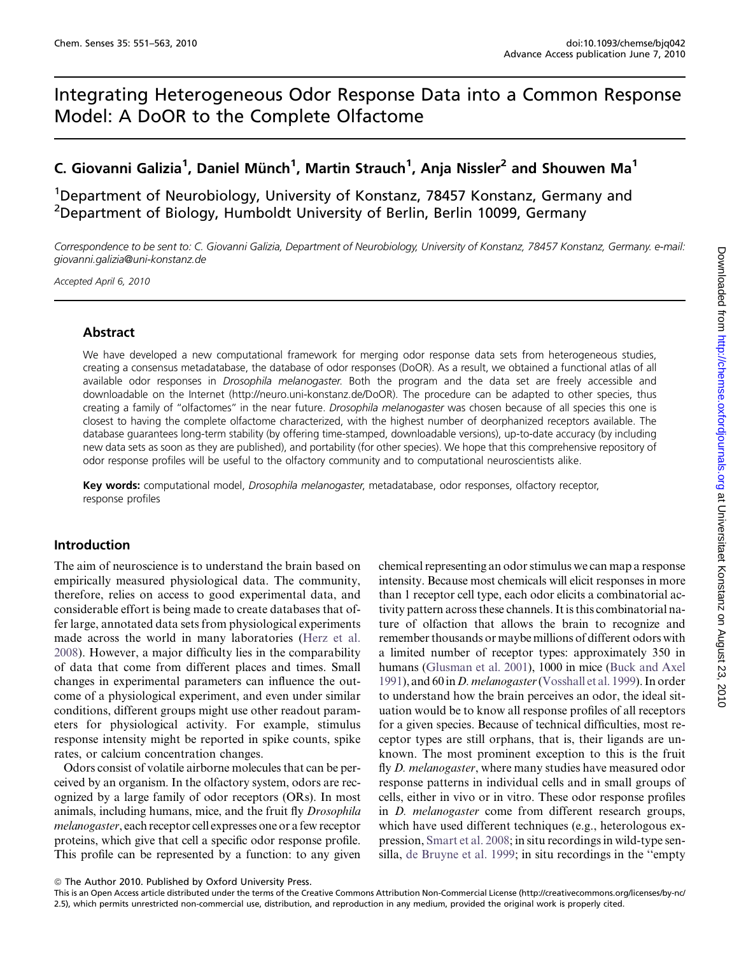# Integrating Heterogeneous Odor Response Data into a Common Response Model: A DoOR to the Complete Olfactome

# C. Giovanni Galizia<sup>1</sup>, Daniel Münch<sup>1</sup>, Martin Strauch<sup>1</sup>, Anja Nissler<sup>2</sup> and Shouwen Ma<sup>1</sup>

<sup>1</sup>Department of Neurobiology, University of Konstanz, 78457 Konstanz, Germany and <sup>2</sup>Department of Biology, Humboldt University of Berlin, Berlin 10099, Germany

Correspondence to be sent to: C. Giovanni Galizia, Department of Neurobiology, University of Konstanz, 78457 Konstanz, Germany. e-mail: giovanni.galizia@uni-konstanz.de

Accepted April 6, 2010

## Abstract

We have developed a new computational framework for merging odor response data sets from heterogeneous studies, creating a consensus metadatabase, the database of odor responses (DoOR). As a result, we obtained a functional atlas of all available odor responses in *Drosophila melanogaster*. Both the program and the data set are freely accessible and downloadable on the Internet (http://neuro.uni-konstanz.de/DoOR). The procedure can be adapted to other species, thus creating a family of "olfactomes" in the near future. Drosophila melanogaster was chosen because of all species this one is closest to having the complete olfactome characterized, with the highest number of deorphanized receptors available. The database guarantees long-term stability (by offering time-stamped, downloadable versions), up-to-date accuracy (by including new data sets as soon as they are published), and portability (for other species). We hope that this comprehensive repository of odor response profiles will be useful to the olfactory community and to computational neuroscientists alike.

Key words: computational model, Drosophila melanogaster, metadatabase, odor responses, olfactory receptor, response profiles

## Introduction

The aim of neuroscience is to understand the brain based on empirically measured physiological data. The community, therefore, relies on access to good experimental data, and considerable effort is being made to create databases that offer large, annotated data sets from physiological experiments made across the world in many laboratories ([Herz et al.](#page-11-0) [2008\)](#page-11-0). However, a major difficulty lies in the comparability of data that come from different places and times. Small changes in experimental parameters can influence the outcome of a physiological experiment, and even under similar conditions, different groups might use other readout parameters for physiological activity. For example, stimulus response intensity might be reported in spike counts, spike rates, or calcium concentration changes.

Odors consist of volatile airborne molecules that can be perceived by an organism. In the olfactory system, odors are recognized by a large family of odor receptors (ORs). In most animals, including humans, mice, and the fruit fly Drosophila melanogaster, each receptor cell expresses one or a few receptor proteins, which give that cell a specific odor response profile. This profile can be represented by a function: to any given chemical representing an odor stimulus we can map a response intensity. Because most chemicals will elicit responses in more than 1 receptor cell type, each odor elicits a combinatorial activity pattern across these channels. It is this combinatorial nature of olfaction that allows the brain to recognize and remember thousands or maybe millions of different odors with a limited number of receptor types: approximately 350 in humans [\(Glusman et al. 2001](#page-11-0)), 1000 in mice [\(Buck and Axel](#page-11-0) [1991](#page-11-0)), and 60 in *D. melanogaster* [\(Vosshall et al. 1999\)](#page-12-0). In order to understand how the brain perceives an odor, the ideal situation would be to know all response profiles of all receptors for a given species. Because of technical difficulties, most receptor types are still orphans, that is, their ligands are unknown. The most prominent exception to this is the fruit fly D. melanogaster, where many studies have measured odor response patterns in individual cells and in small groups of cells, either in vivo or in vitro. These odor response profiles in D. melanogaster come from different research groups, which have used different techniques (e.g., heterologous expression, [Smart et al. 2008](#page-12-0); in situ recordings in wild-type sensilla, [de Bruyne et al. 1999;](#page-11-0) in situ recordings in the ''empty

© The Author 2010. Published by Oxford University Press.

This is an Open Access article distributed under the terms of the Creative Commons Attribution Non-Commercial License (http://creativecommons.org/licenses/by-nc/ 2.5), which permits unrestricted non-commercial use, distribution, and reproduction in any medium, provided the original work is properly cited.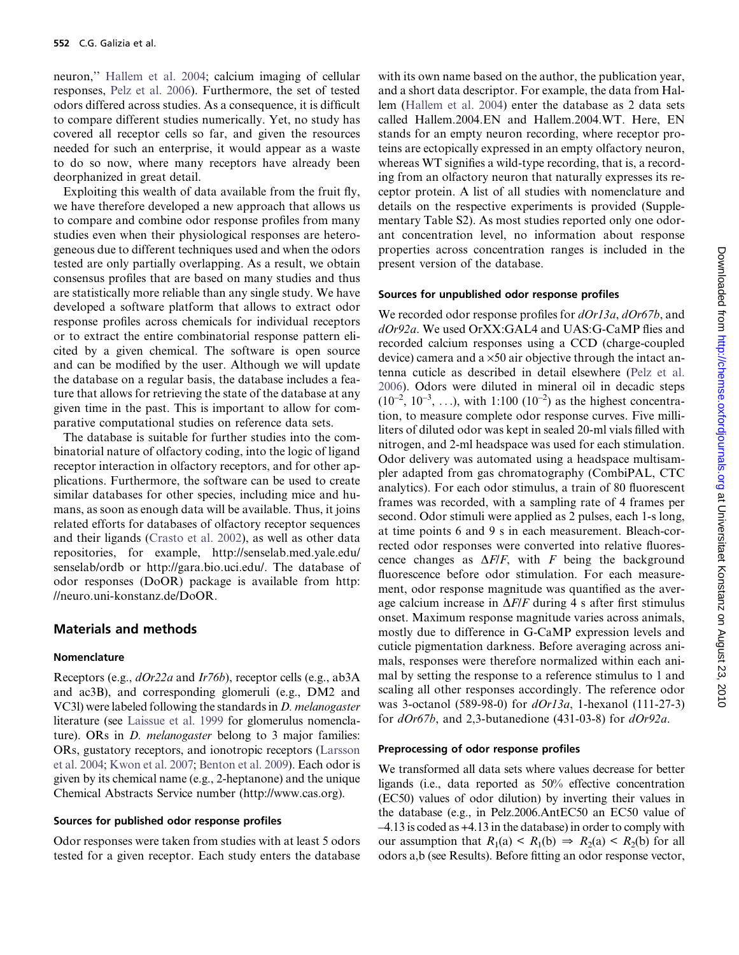neuron,'' [Hallem et al. 2004](#page-11-0); calcium imaging of cellular responses, [Pelz et al. 2006](#page-12-0)). Furthermore, the set of tested odors differed across studies. As a consequence, it is difficult to compare different studies numerically. Yet, no study has covered all receptor cells so far, and given the resources needed for such an enterprise, it would appear as a waste to do so now, where many receptors have already been deorphanized in great detail.

Exploiting this wealth of data available from the fruit fly, we have therefore developed a new approach that allows us to compare and combine odor response profiles from many studies even when their physiological responses are heterogeneous due to different techniques used and when the odors tested are only partially overlapping. As a result, we obtain consensus profiles that are based on many studies and thus are statistically more reliable than any single study. We have developed a software platform that allows to extract odor response profiles across chemicals for individual receptors or to extract the entire combinatorial response pattern elicited by a given chemical. The software is open source and can be modified by the user. Although we will update the database on a regular basis, the database includes a feature that allows for retrieving the state of the database at any given time in the past. This is important to allow for comparative computational studies on reference data sets.

The database is suitable for further studies into the combinatorial nature of olfactory coding, into the logic of ligand receptor interaction in olfactory receptors, and for other applications. Furthermore, the software can be used to create similar databases for other species, including mice and humans, as soon as enough data will be available. Thus, it joins related efforts for databases of olfactory receptor sequences and their ligands ([Crasto et al. 2002](#page-11-0)), as well as other data repositories, for example, http://senselab.med.yale.edu/ senselab/ordb or http://gara.bio.uci.edu/. The database of odor responses (DoOR) package is available from http: //neuro.uni-konstanz.de/DoOR.

## Materials and methods

#### Nomenclature

Receptors (e.g., dOr22a and Ir76b), receptor cells (e.g., ab3A and ac3B), and corresponding glomeruli (e.g., DM2 and VC3l) were labeled following the standards in D. melanogaster literature (see [Laissue et al. 1999](#page-11-0) for glomerulus nomenclature). ORs in *D. melanogaster* belong to 3 major families: ORs, gustatory receptors, and ionotropic receptors [\(Larsson](#page-12-0) [et al. 2004;](#page-12-0) [Kwon et al. 2007](#page-11-0); [Benton et al. 2009\)](#page-11-0). Each odor is given by its chemical name (e.g., 2-heptanone) and the unique Chemical Abstracts Service number (http://www.cas.org).

#### Sources for published odor response profiles

Odor responses were taken from studies with at least 5 odors tested for a given receptor. Each study enters the database with its own name based on the author, the publication year, and a short data descriptor. For example, the data from Hallem ([Hallem et al. 2004\)](#page-11-0) enter the database as 2 data sets called Hallem.2004.EN and Hallem.2004.WT. Here, EN stands for an empty neuron recording, where receptor proteins are ectopically expressed in an empty olfactory neuron, whereas WT signifies a wild-type recording, that is, a recording from an olfactory neuron that naturally expresses its receptor protein. A list of all studies with nomenclature and details on the respective experiments is provided (Supplementary Table S2). As most studies reported only one odorant concentration level, no information about response properties across concentration ranges is included in the present version of the database.

#### Sources for unpublished odor response profiles

We recorded odor response profiles for  $dOr13a$ ,  $dOr67b$ , and dOr92a. We used OrXX:GAL4 and UAS:G-CaMP flies and recorded calcium responses using a CCD (charge-coupled device) camera and a  $\times$ 50 air objective through the intact antenna cuticle as described in detail elsewhere [\(Pelz et al.](#page-12-0) [2006](#page-12-0)). Odors were diluted in mineral oil in decadic steps  $(10^{-2}, 10^{-3}, \ldots)$ , with 1:100  $(10^{-2})$  as the highest concentration, to measure complete odor response curves. Five milliliters of diluted odor was kept in sealed 20-ml vials filled with nitrogen, and 2-ml headspace was used for each stimulation. Odor delivery was automated using a headspace multisampler adapted from gas chromatography (CombiPAL, CTC analytics). For each odor stimulus, a train of 80 fluorescent frames was recorded, with a sampling rate of 4 frames per second. Odor stimuli were applied as 2 pulses, each 1-s long, at time points 6 and 9 s in each measurement. Bleach-corrected odor responses were converted into relative fluorescence changes as  $\Delta F/F$ , with F being the background fluorescence before odor stimulation. For each measurement, odor response magnitude was quantified as the average calcium increase in  $\Delta F/F$  during 4 s after first stimulus onset. Maximum response magnitude varies across animals, mostly due to difference in G-CaMP expression levels and cuticle pigmentation darkness. Before averaging across animals, responses were therefore normalized within each animal by setting the response to a reference stimulus to 1 and scaling all other responses accordingly. The reference odor was 3-octanol (589-98-0) for  $dOr13a$ , 1-hexanol (111-27-3) for  $dOr67b$ , and 2,3-butanedione (431-03-8) for  $dOr92a$ .

### Preprocessing of odor response profiles

We transformed all data sets where values decrease for better ligands (i.e., data reported as 50% effective concentration (EC50) values of odor dilution) by inverting their values in the database (e.g., in Pelz.2006.AntEC50 an EC50 value of –4.13 is coded as +4.13 in the database) in order to comply with our assumption that  $R_1(a) \le R_1(b) \Rightarrow R_2(a) \le R_2(b)$  for all odors a,b (see Results). Before fitting an odor response vector,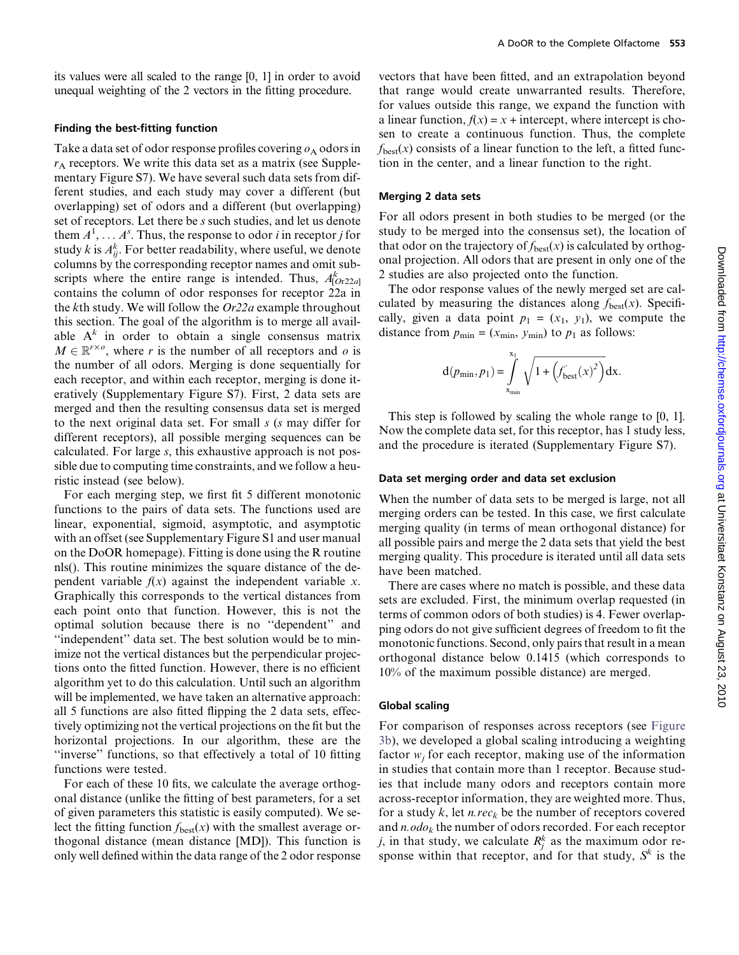its values were all scaled to the range [0, 1] in order to avoid unequal weighting of the 2 vectors in the fitting procedure.

#### Finding the best-fitting function

Take a data set of odor response profiles covering  $\rho_A$  odors in  $r_A$  receptors. We write this data set as a matrix (see Supplementary Figure S7). We have several such data sets from different studies, and each study may cover a different (but overlapping) set of odors and a different (but overlapping) set of receptors. Let there be s such studies, and let us denote them  $A^1, \ldots, A^s$ . Thus, the response to odor *i* in receptor *j* for study  $k$  is  $A_{ij}^k$ . For better readability, where useful, we denote columns by the corresponding receptor names and omit subscripts where the entire range is intended. Thus,  $A^k_{[Or22a]}$ contains the column of odor responses for receptor 22a in the kth study. We will follow the  $Or22a$  example throughout this section. The goal of the algorithm is to merge all available  $A^k$  in order to obtain a single consensus matrix  $M \in \mathbb{R}^{r \times o}$ , where r is the number of all receptors and o is<br>the number of all odors. Merging is done sequentially for the number of all odors. Merging is done sequentially for each receptor, and within each receptor, merging is done iteratively (Supplementary Figure S7). First, 2 data sets are merged and then the resulting consensus data set is merged to the next original data set. For small s (s may differ for different receptors), all possible merging sequences can be calculated. For large s, this exhaustive approach is not possible due to computing time constraints, and we follow a heuristic instead (see below).

For each merging step, we first fit 5 different monotonic functions to the pairs of data sets. The functions used are linear, exponential, sigmoid, asymptotic, and asymptotic with an offset (see Supplementary Figure S1 and user manual on the DoOR homepage). Fitting is done using the R routine nls(). This routine minimizes the square distance of the dependent variable  $f(x)$  against the independent variable x. Graphically this corresponds to the vertical distances from each point onto that function. However, this is not the optimal solution because there is no ''dependent'' and ''independent'' data set. The best solution would be to minimize not the vertical distances but the perpendicular projections onto the fitted function. However, there is no efficient algorithm yet to do this calculation. Until such an algorithm will be implemented, we have taken an alternative approach: all 5 functions are also fitted flipping the 2 data sets, effectively optimizing not the vertical projections on the fit but the horizontal projections. In our algorithm, these are the ''inverse'' functions, so that effectively a total of 10 fitting functions were tested.

For each of these 10 fits, we calculate the average orthogonal distance (unlike the fitting of best parameters, for a set of given parameters this statistic is easily computed). We select the fitting function  $f_{\text{best}}(x)$  with the smallest average orthogonal distance (mean distance [MD]). This function is only well defined within the data range of the 2 odor response

vectors that have been fitted, and an extrapolation beyond that range would create unwarranted results. Therefore, for values outside this range, we expand the function with a linear function,  $f(x) = x +$  intercept, where intercept is chosen to create a continuous function. Thus, the complete  $f_{\text{best}}(x)$  consists of a linear function to the left, a fitted function in the center, and a linear function to the right.

#### Merging 2 data sets

For all odors present in both studies to be merged (or the study to be merged into the consensus set), the location of that odor on the trajectory of  $f_{\text{best}}(x)$  is calculated by orthogonal projection. All odors that are present in only one of the 2 studies are also projected onto the function.

The odor response values of the newly merged set are calculated by measuring the distances along  $f_{\text{best}}(x)$ . Specifically, given a data point  $p_1 = (x_1, y_1)$ , we compute the distance from  $p_{\min} = (x_{\min}, y_{\min})$  to  $p_1$  as follows:

$$
d(p_{\min}, p_1) = \int_{x_{\min}}^{x_1} \sqrt{1 + (f'_{\text{best}}(x)^2)} dx.
$$

This step is followed by scaling the whole range to [0, 1]. Now the complete data set, for this receptor, has 1 study less, and the procedure is iterated (Supplementary Figure S7).

#### Data set merging order and data set exclusion

When the number of data sets to be merged is large, not all merging orders can be tested. In this case, we first calculate merging quality (in terms of mean orthogonal distance) for all possible pairs and merge the 2 data sets that yield the best merging quality. This procedure is iterated until all data sets have been matched.

There are cases where no match is possible, and these data sets are excluded. First, the minimum overlap requested (in terms of common odors of both studies) is 4. Fewer overlapping odors do not give sufficient degrees of freedom to fit the monotonic functions. Second, only pairs that result in a mean orthogonal distance below 0.1415 (which corresponds to 10% of the maximum possible distance) are merged.

#### Global scaling

For comparison of responses across receptors (see [Figure](#page-7-0) [3b\)](#page-7-0), we developed a global scaling introducing a weighting factor  $w_i$  for each receptor, making use of the information in studies that contain more than 1 receptor. Because studies that include many odors and receptors contain more across-receptor information, they are weighted more. Thus, for a study k, let n. rec<sub>k</sub> be the number of receptors covered and  $n.$  odo<sub>k</sub> the number of odors recorded. For each receptor *j*, in that study, we calculate  $R_j^k$  as the maximum odor response within that receptor, and for that study,  $S^k$  is the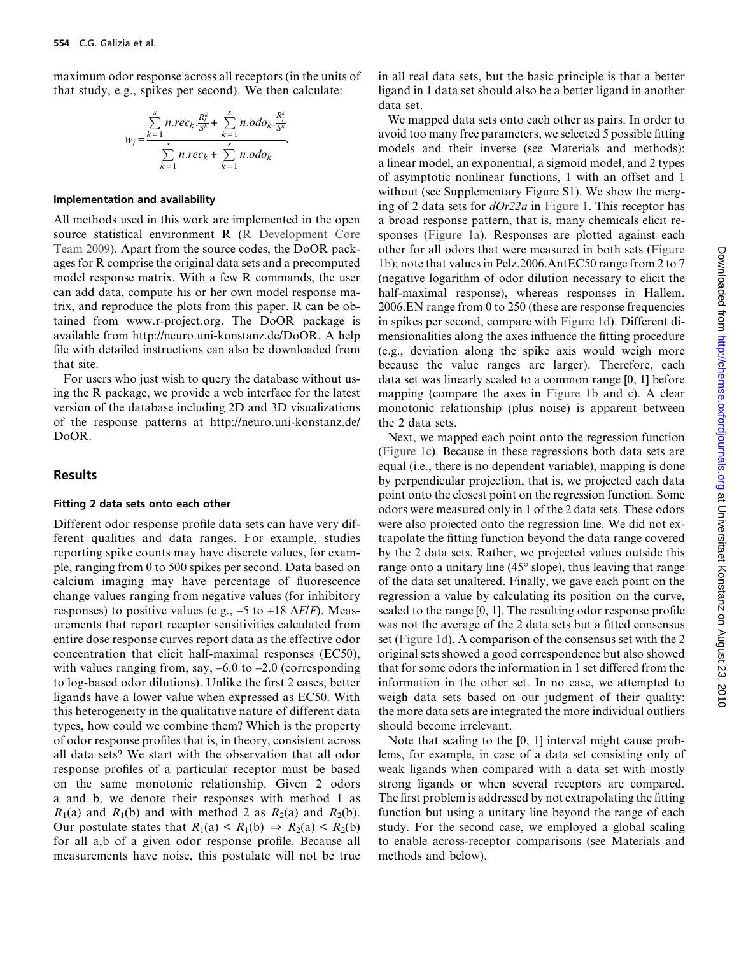maximum odor response across all receptors (in the units of that study, e.g., spikes per second). We then calculate:

$$
w_{j} = \frac{\sum_{k=1}^{s} n \cdot rec_{k} \cdot \frac{R_{j}^{k}}{S^{k}} + \sum_{k=1}^{s} n \cdot odo_{k} \cdot \frac{R_{j}^{k}}{S^{k}}}{\sum_{k=1}^{s} n \cdot rec_{k} + \sum_{k=1}^{s} n \cdot odo_{k}}.
$$

#### Implementation and availability

All methods used in this work are implemented in the open source statistical environment R ([R Development Core](#page-12-0) [Team 2009](#page-12-0)). Apart from the source codes, the DoOR packages for R comprise the original data sets and a precomputed model response matrix. With a few R commands, the user can add data, compute his or her own model response matrix, and reproduce the plots from this paper. R can be obtained from www.r-project.org. The DoOR package is available from http://neuro.uni-konstanz.de/DoOR. A help file with detailed instructions can also be downloaded from that site.

For users who just wish to query the database without using the R package, we provide a web interface for the latest version of the database including 2D and 3D visualizations of the response patterns at http://neuro.uni-konstanz.de/ DoOR.

### Results

#### Fitting 2 data sets onto each other

Different odor response profile data sets can have very different qualities and data ranges. For example, studies reporting spike counts may have discrete values, for example, ranging from 0 to 500 spikes per second. Data based on calcium imaging may have percentage of fluorescence change values ranging from negative values (for inhibitory responses) to positive values (e.g.,  $-5$  to +18  $\Delta F/F$ ). Measurements that report receptor sensitivities calculated from entire dose response curves report data as the effective odor concentration that elicit half-maximal responses (EC50), with values ranging from, say,  $-6.0$  to  $-2.0$  (corresponding to log-based odor dilutions). Unlike the first 2 cases, better ligands have a lower value when expressed as EC50. With this heterogeneity in the qualitative nature of different data types, how could we combine them? Which is the property of odor response profiles that is, in theory, consistent across all data sets? We start with the observation that all odor response profiles of a particular receptor must be based on the same monotonic relationship. Given 2 odors a and b, we denote their responses with method 1 as  $R_1(a)$  and  $R_1(b)$  and with method 2 as  $R_2(a)$  and  $R_2(b)$ . Our postulate states that  $R_1(a) \le R_1(b) \Rightarrow R_2(a) \le R_2(b)$ for all a,b of a given odor response profile. Because all measurements have noise, this postulate will not be true

in all real data sets, but the basic principle is that a better ligand in 1 data set should also be a better ligand in another data set.

We mapped data sets onto each other as pairs. In order to avoid too many free parameters, we selected 5 possible fitting models and their inverse (see Materials and methods): a linear model, an exponential, a sigmoid model, and 2 types of asymptotic nonlinear functions, 1 with an offset and 1 without (see Supplementary Figure S1). We show the merging of 2 data sets for  $dOr22a$  in [Figure 1](#page-4-0). This receptor has a broad response pattern, that is, many chemicals elicit responses [\(Figure 1a\)](#page-4-0). Responses are plotted against each other for all odors that were measured in both sets [\(Figure](#page-4-0) [1b\)](#page-4-0); note that values in Pelz.2006.AntEC50 range from 2 to 7 (negative logarithm of odor dilution necessary to elicit the half-maximal response), whereas responses in Hallem. 2006.EN range from 0 to 250 (these are response frequencies in spikes per second, compare with [Figure 1d\)](#page-4-0). Different dimensionalities along the axes influence the fitting procedure (e.g., deviation along the spike axis would weigh more because the value ranges are larger). Therefore, each data set was linearly scaled to a common range [0, 1] before mapping (compare the axes in [Figure 1b](#page-4-0) and [c\)](#page-4-0). A clear monotonic relationship (plus noise) is apparent between the 2 data sets.

Next, we mapped each point onto the regression function ([Figure 1c](#page-4-0)). Because in these regressions both data sets are equal (i.e., there is no dependent variable), mapping is done by perpendicular projection, that is, we projected each data point onto the closest point on the regression function. Some odors were measured only in 1 of the 2 data sets. These odors were also projected onto the regression line. We did not extrapolate the fitting function beyond the data range covered by the 2 data sets. Rather, we projected values outside this range onto a unitary line  $(45^{\circ}$  slope), thus leaving that range of the data set unaltered. Finally, we gave each point on the regression a value by calculating its position on the curve, scaled to the range [0, 1]. The resulting odor response profile was not the average of the 2 data sets but a fitted consensus set [\(Figure 1d](#page-4-0)). A comparison of the consensus set with the 2 original sets showed a good correspondence but also showed that for some odors the information in 1 set differed from the information in the other set. In no case, we attempted to weigh data sets based on our judgment of their quality: the more data sets are integrated the more individual outliers should become irrelevant.

Note that scaling to the [0, 1] interval might cause problems, for example, in case of a data set consisting only of weak ligands when compared with a data set with mostly strong ligands or when several receptors are compared. The first problem is addressed by not extrapolating the fitting function but using a unitary line beyond the range of each study. For the second case, we employed a global scaling to enable across-receptor comparisons (see Materials and methods and below).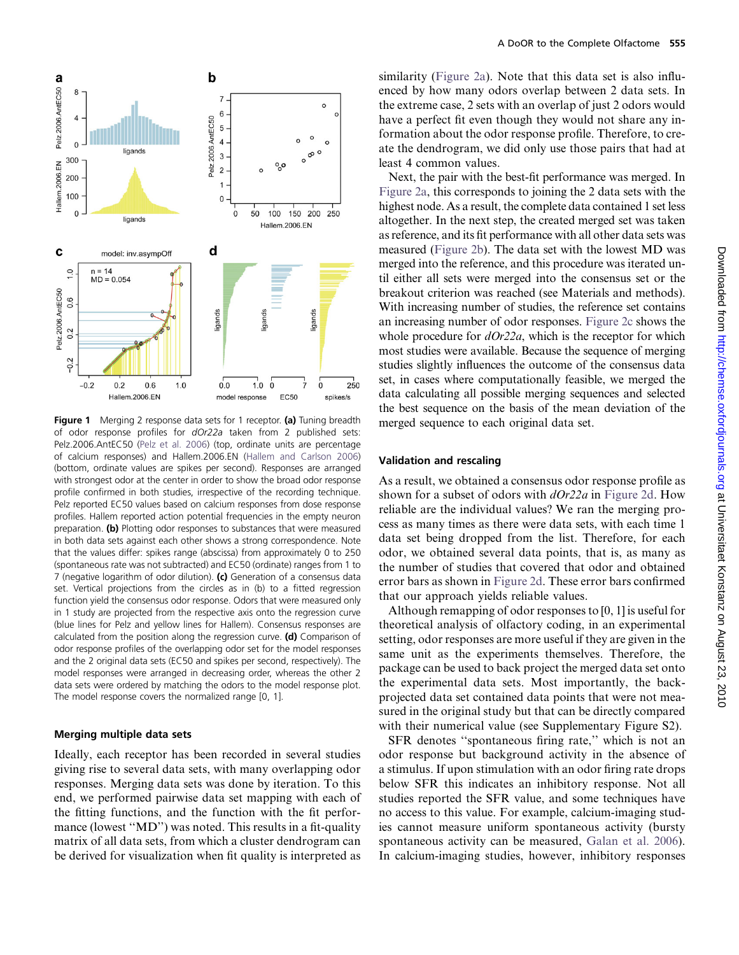<span id="page-4-0"></span>

Figure 1 Merging 2 response data sets for 1 receptor. (a) Tuning breadth of odor response profiles for dOr22a taken from 2 published sets: Pelz.2006.AntEC50 ([Pelz et al. 2006](#page-12-0)) (top, ordinate units are percentage of calcium responses) and Hallem.2006.EN [\(Hallem and Carlson 2006\)](#page-11-0) (bottom, ordinate values are spikes per second). Responses are arranged with strongest odor at the center in order to show the broad odor response profile confirmed in both studies, irrespective of the recording technique. Pelz reported EC50 values based on calcium responses from dose response profiles. Hallem reported action potential frequencies in the empty neuron preparation. (b) Plotting odor responses to substances that were measured in both data sets against each other shows a strong correspondence. Note that the values differ: spikes range (abscissa) from approximately 0 to 250 (spontaneous rate was not subtracted) and EC50 (ordinate) ranges from 1 to 7 (negative logarithm of odor dilution). (c) Generation of a consensus data set. Vertical projections from the circles as in (b) to a fitted regression function yield the consensus odor response. Odors that were measured only in 1 study are projected from the respective axis onto the regression curve (blue lines for Pelz and yellow lines for Hallem). Consensus responses are calculated from the position along the regression curve.  $(d)$  Comparison of odor response profiles of the overlapping odor set for the model responses and the 2 original data sets (EC50 and spikes per second, respectively). The model responses were arranged in decreasing order, whereas the other 2 data sets were ordered by matching the odors to the model response plot. The model response covers the normalized range [0, 1].

#### Merging multiple data sets

Ideally, each receptor has been recorded in several studies giving rise to several data sets, with many overlapping odor responses. Merging data sets was done by iteration. To this end, we performed pairwise data set mapping with each of the fitting functions, and the function with the fit performance (lowest "MD") was noted. This results in a fit-quality matrix of all data sets, from which a cluster dendrogram can be derived for visualization when fit quality is interpreted as

similarity ([Figure 2a](#page-5-0)). Note that this data set is also influenced by how many odors overlap between 2 data sets. In the extreme case, 2 sets with an overlap of just 2 odors would have a perfect fit even though they would not share any information about the odor response profile. Therefore, to create the dendrogram, we did only use those pairs that had at least 4 common values.

Next, the pair with the best-fit performance was merged. In [Figure 2a,](#page-5-0) this corresponds to joining the 2 data sets with the highest node. As a result, the complete data contained 1 set less altogether. In the next step, the created merged set was taken as reference, and its fit performance with all other data sets was measured ([Figure 2b](#page-5-0)). The data set with the lowest MD was merged into the reference, and this procedure was iterated until either all sets were merged into the consensus set or the breakout criterion was reached (see Materials and methods). With increasing number of studies, the reference set contains an increasing number of odor responses. [Figure 2c](#page-5-0) shows the whole procedure for  $dOr22a$ , which is the receptor for which most studies were available. Because the sequence of merging studies slightly influences the outcome of the consensus data set, in cases where computationally feasible, we merged the data calculating all possible merging sequences and selected the best sequence on the basis of the mean deviation of the merged sequence to each original data set.

#### Validation and rescaling

As a result, we obtained a consensus odor response profile as shown for a subset of odors with  $dOr22a$  in [Figure 2d.](#page-5-0) How reliable are the individual values? We ran the merging process as many times as there were data sets, with each time 1 data set being dropped from the list. Therefore, for each odor, we obtained several data points, that is, as many as the number of studies that covered that odor and obtained error bars as shown in [Figure 2d](#page-5-0). These error bars confirmed that our approach yields reliable values.

Although remapping of odor responses to [0, 1] is useful for theoretical analysis of olfactory coding, in an experimental setting, odor responses are more useful if they are given in the same unit as the experiments themselves. Therefore, the package can be used to back project the merged data set onto the experimental data sets. Most importantly, the backprojected data set contained data points that were not measured in the original study but that can be directly compared with their numerical value (see Supplementary Figure S2).

SFR denotes ''spontaneous firing rate,'' which is not an odor response but background activity in the absence of a stimulus. If upon stimulation with an odor firing rate drops below SFR this indicates an inhibitory response. Not all studies reported the SFR value, and some techniques have no access to this value. For example, calcium-imaging studies cannot measure uniform spontaneous activity (bursty spontaneous activity can be measured, [Galan et al. 2006\)](#page-11-0). In calcium-imaging studies, however, inhibitory responses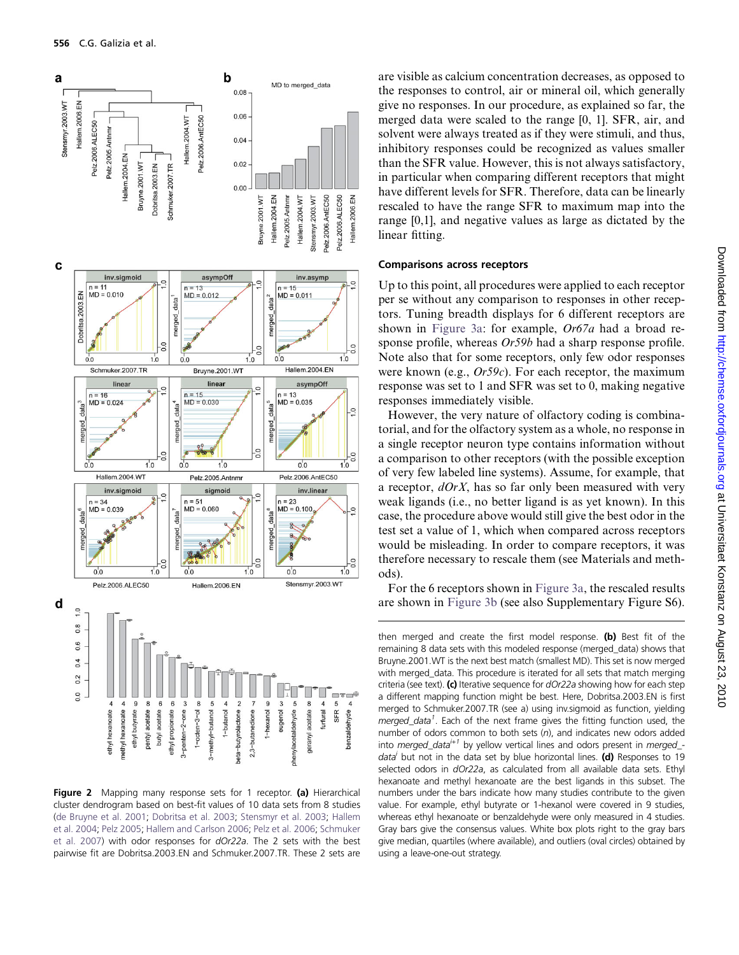<span id="page-5-0"></span>

Figure 2 Mapping many response sets for 1 receptor. (a) Hierarchical cluster dendrogram based on best-fit values of 10 data sets from 8 studies ([de Bruyne et al. 2001](#page-11-0); [Dobritsa et al. 2003;](#page-11-0) [Stensmyr et al. 2003](#page-12-0); [Hallem](#page-11-0) [et al. 2004](#page-11-0); [Pelz 2005](#page-12-0); [Hallem and Carlson 2006;](#page-11-0) [Pelz et al. 2006](#page-12-0); [Schmuker](#page-12-0) [et al. 2007](#page-12-0)) with odor responses for dOr22a. The 2 sets with the best pairwise fit are Dobritsa.2003.EN and Schmuker.2007.TR. These 2 sets are

are visible as calcium concentration decreases, as opposed to the responses to control, air or mineral oil, which generally give no responses. In our procedure, as explained so far, the merged data were scaled to the range [0, 1]. SFR, air, and solvent were always treated as if they were stimuli, and thus, inhibitory responses could be recognized as values smaller than the SFR value. However, this is not always satisfactory, in particular when comparing different receptors that might have different levels for SFR. Therefore, data can be linearly rescaled to have the range SFR to maximum map into the range [0,1], and negative values as large as dictated by the linear fitting.

#### Comparisons across receptors

Up to this point, all procedures were applied to each receptor per se without any comparison to responses in other receptors. Tuning breadth displays for 6 different receptors are shown in [Figure 3a:](#page-7-0) for example, Or67a had a broad response profile, whereas  $Or59b$  had a sharp response profile. Note also that for some receptors, only few odor responses were known (e.g.,  $Or59c$ ). For each receptor, the maximum response was set to 1 and SFR was set to 0, making negative responses immediately visible.

However, the very nature of olfactory coding is combinatorial, and for the olfactory system as a whole, no response in a single receptor neuron type contains information without a comparison to other receptors (with the possible exception of very few labeled line systems). Assume, for example, that a receptor,  $dOrX$ , has so far only been measured with very weak ligands (i.e., no better ligand is as yet known). In this case, the procedure above would still give the best odor in the test set a value of 1, which when compared across receptors would be misleading. In order to compare receptors, it was therefore necessary to rescale them (see Materials and methods).

For the 6 receptors shown in [Figure 3a,](#page-7-0) the rescaled results are shown in [Figure 3b](#page-7-0) (see also Supplementary Figure S6).

then merged and create the first model response. (b) Best fit of the remaining 8 data sets with this modeled response (merged\_data) shows that Bruyne.2001.WT is the next best match (smallest MD). This set is now merged with merged\_data. This procedure is iterated for all sets that match merging criteria (see text). (c) Iterative sequence for  $dOr22a$  showing how for each step a different mapping function might be best. Here, Dobritsa.2003.EN is first merged to Schmuker.2007.TR (see a) using inv.sigmoid as function, yielding merged\_data<sup>1</sup>. Each of the next frame gives the fitting function used, the number of odors common to both sets (n), and indicates new odors added into merged\_data<sup> $i+1$ </sup> by yellow vertical lines and odors present in merged\_data<sup>i</sup> but not in the data set by blue horizontal lines. (d) Responses to 19 selected odors in dOr22a, as calculated from all available data sets. Ethyl hexanoate and methyl hexanoate are the best ligands in this subset. The numbers under the bars indicate how many studies contribute to the given value. For example, ethyl butyrate or 1-hexanol were covered in 9 studies, whereas ethyl hexanoate or benzaldehyde were only measured in 4 studies. Gray bars give the consensus values. White box plots right to the gray bars give median, quartiles (where available), and outliers (oval circles) obtained by using a leave-one-out strategy.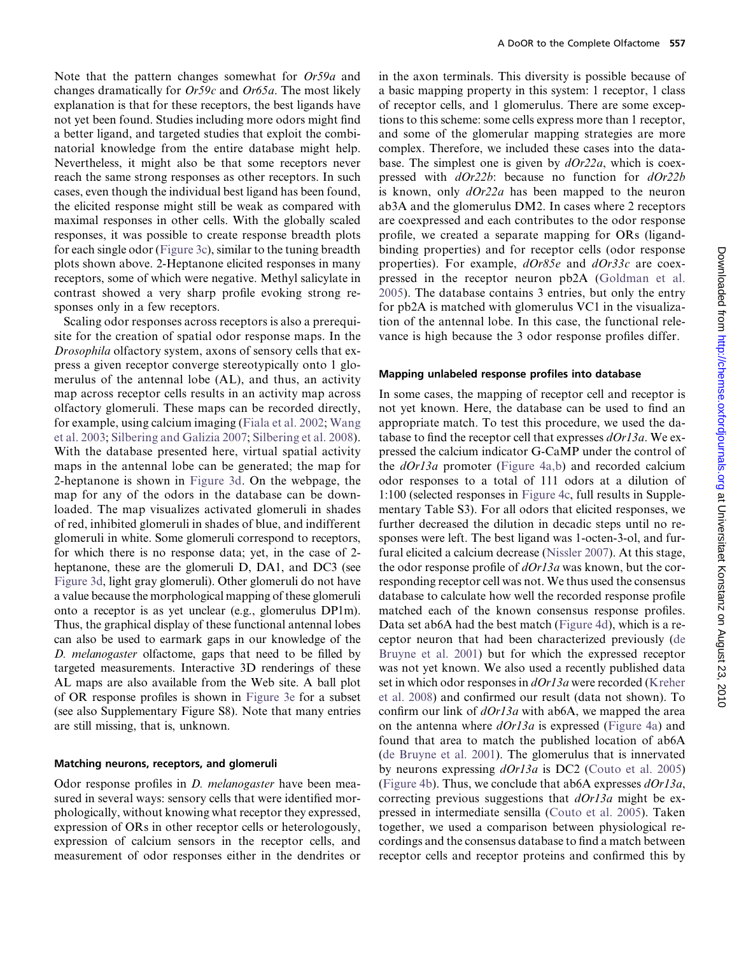Note that the pattern changes somewhat for Or59a and changes dramatically for  $Or59c$  and  $Or65a$ . The most likely explanation is that for these receptors, the best ligands have not yet been found. Studies including more odors might find a better ligand, and targeted studies that exploit the combinatorial knowledge from the entire database might help. Nevertheless, it might also be that some receptors never reach the same strong responses as other receptors. In such cases, even though the individual best ligand has been found, the elicited response might still be weak as compared with maximal responses in other cells. With the globally scaled responses, it was possible to create response breadth plots for each single odor [\(Figure 3c\)](#page-7-0), similar to the tuning breadth plots shown above. 2-Heptanone elicited responses in many receptors, some of which were negative. Methyl salicylate in contrast showed a very sharp profile evoking strong responses only in a few receptors.

Scaling odor responses across receptors is also a prerequisite for the creation of spatial odor response maps. In the Drosophila olfactory system, axons of sensory cells that express a given receptor converge stereotypically onto 1 glomerulus of the antennal lobe (AL), and thus, an activity map across receptor cells results in an activity map across olfactory glomeruli. These maps can be recorded directly, for example, using calcium imaging [\(Fiala et al. 2002](#page-11-0); [Wang](#page-12-0) [et al. 2003;](#page-12-0) [Silbering and Galizia 2007;](#page-12-0) [Silbering et al. 2008\)](#page-12-0). With the database presented here, virtual spatial activity maps in the antennal lobe can be generated; the map for 2-heptanone is shown in [Figure 3d](#page-7-0). On the webpage, the map for any of the odors in the database can be downloaded. The map visualizes activated glomeruli in shades of red, inhibited glomeruli in shades of blue, and indifferent glomeruli in white. Some glomeruli correspond to receptors, for which there is no response data; yet, in the case of 2 heptanone, these are the glomeruli D, DA1, and DC3 (see [Figure 3d](#page-7-0), light gray glomeruli). Other glomeruli do not have a value because the morphological mapping of these glomeruli onto a receptor is as yet unclear (e.g., glomerulus DP1m). Thus, the graphical display of these functional antennal lobes can also be used to earmark gaps in our knowledge of the D. melanogaster olfactome, gaps that need to be filled by targeted measurements. Interactive 3D renderings of these AL maps are also available from the Web site. A ball plot of OR response profiles is shown in [Figure 3e](#page-7-0) for a subset (see also Supplementary Figure S8). Note that many entries are still missing, that is, unknown.

#### Matching neurons, receptors, and glomeruli

Odor response profiles in *D. melanogaster* have been measured in several ways: sensory cells that were identified morphologically, without knowing what receptor they expressed, expression of ORs in other receptor cells or heterologously, expression of calcium sensors in the receptor cells, and measurement of odor responses either in the dendrites or

in the axon terminals. This diversity is possible because of a basic mapping property in this system: 1 receptor, 1 class of receptor cells, and 1 glomerulus. There are some exceptions to this scheme: some cells express more than 1 receptor, and some of the glomerular mapping strategies are more complex. Therefore, we included these cases into the database. The simplest one is given by  $dOr22a$ , which is coexpressed with *dOr22b*: because no function for *dOr22b* is known, only  $dOr22a$  has been mapped to the neuron ab3A and the glomerulus DM2. In cases where 2 receptors are coexpressed and each contributes to the odor response profile, we created a separate mapping for ORs (ligandbinding properties) and for receptor cells (odor response properties). For example,  $dOr85e$  and  $dOr33c$  are coexpressed in the receptor neuron pb2A ([Goldman et al.](#page-11-0) [2005](#page-11-0)). The database contains 3 entries, but only the entry for pb2A is matched with glomerulus VC1 in the visualization of the antennal lobe. In this case, the functional relevance is high because the 3 odor response profiles differ.

#### Mapping unlabeled response profiles into database

In some cases, the mapping of receptor cell and receptor is not yet known. Here, the database can be used to find an appropriate match. To test this procedure, we used the database to find the receptor cell that expresses  $dOr13a$ . We expressed the calcium indicator G-CaMP under the control of the  $dOr13a$  promoter ([Figure 4a,b](#page-9-0)) and recorded calcium odor responses to a total of 111 odors at a dilution of 1:100 (selected responses in [Figure 4c](#page-9-0), full results in Supplementary Table S3). For all odors that elicited responses, we further decreased the dilution in decadic steps until no responses were left. The best ligand was 1-octen-3-ol, and furfural elicited a calcium decrease ([Nissler 2007](#page-12-0)). At this stage, the odor response profile of  $dOr13a$  was known, but the corresponding receptor cell was not. We thus used the consensus database to calculate how well the recorded response profile matched each of the known consensus response profiles. Data set ab6A had the best match ([Figure 4d\)](#page-9-0), which is a receptor neuron that had been characterized previously [\(de](#page-11-0) [Bruyne et al. 2001](#page-11-0)) but for which the expressed receptor was not yet known. We also used a recently published data set in which odor responses in *dOr13a* were recorded ([Kreher](#page-11-0) [et al. 2008\)](#page-11-0) and confirmed our result (data not shown). To confirm our link of  $dOr13a$  with ab6A, we mapped the area on the antenna where  $dOr13a$  is expressed ([Figure 4a](#page-9-0)) and found that area to match the published location of ab6A [\(de Bruyne et al. 2001\)](#page-11-0). The glomerulus that is innervated by neurons expressing  $dOr13a$  is DC2 ([Couto et al. 2005\)](#page-11-0) [\(Figure 4b](#page-9-0)). Thus, we conclude that ab6A expresses  $dOr13a$ , correcting previous suggestions that  $dOr13a$  might be expressed in intermediate sensilla [\(Couto et al. 2005](#page-11-0)). Taken together, we used a comparison between physiological recordings and the consensus database to find a match between receptor cells and receptor proteins and confirmed this by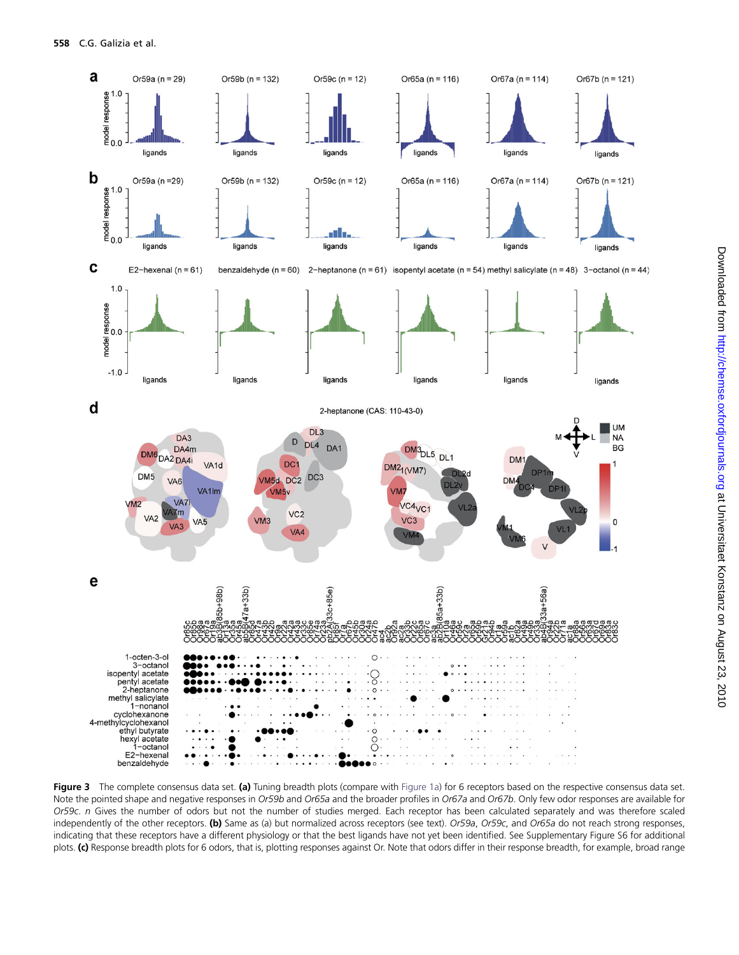<span id="page-7-0"></span>

Figure 3 The complete consensus data set. (a) Tuning breadth plots (compare with [Figure 1a\)](#page-4-0) for 6 receptors based on the respective consensus data set. Note the pointed shape and negative responses in Or59b and Or65a and the broader profiles in Or67a and Or67b. Only few odor responses are available for Or59c. n Gives the number of odors but not the number of studies merged. Each receptor has been calculated separately and was therefore scaled independently of the other receptors. (b) Same as (a) but normalized across receptors (see text). Or59a, Or59c, and Or65a do not reach strong responses, indicating that these receptors have a different physiology or that the best ligands have not yet been identified. See Supplementary Figure S6 for additional plots. (c) Response breadth plots for 6 odors, that is, plotting responses against Or. Note that odors differ in their response breadth, for example, broad range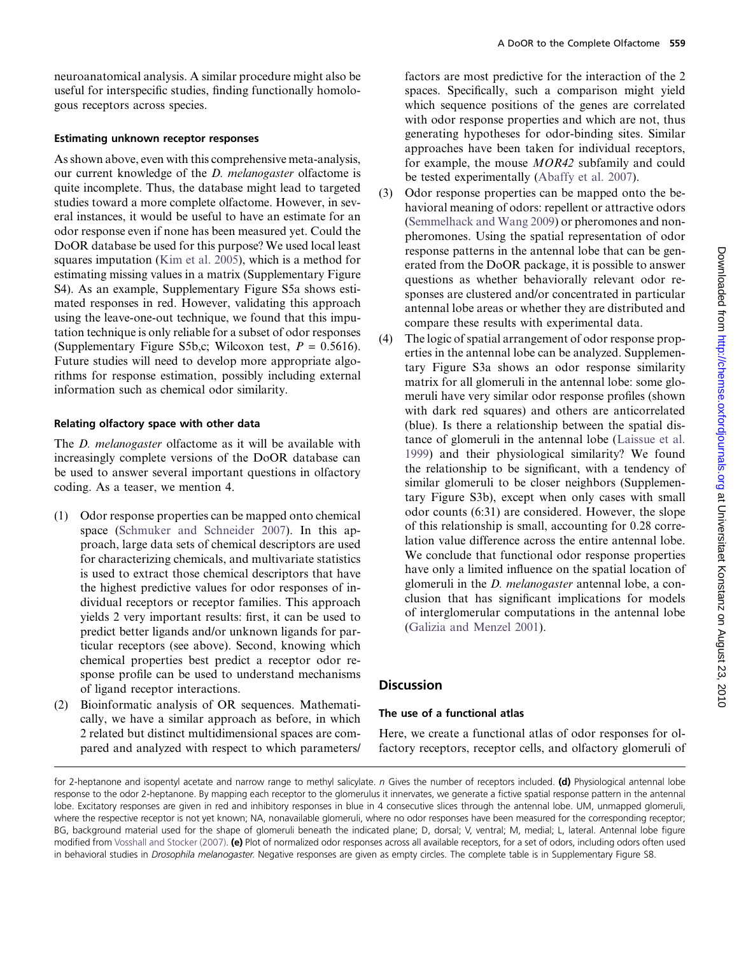neuroanatomical analysis. A similar procedure might also be useful for interspecific studies, finding functionally homologous receptors across species.

## Estimating unknown receptor responses

As shown above, even with this comprehensive meta-analysis, our current knowledge of the D. melanogaster olfactome is quite incomplete. Thus, the database might lead to targeted studies toward a more complete olfactome. However, in several instances, it would be useful to have an estimate for an odor response even if none has been measured yet. Could the DoOR database be used for this purpose? We used local least squares imputation [\(Kim et al. 2005](#page-11-0)), which is a method for estimating missing values in a matrix (Supplementary Figure S4). As an example, Supplementary Figure S5a shows estimated responses in red. However, validating this approach using the leave-one-out technique, we found that this imputation technique is only reliable for a subset of odor responses (Supplementary Figure S5b,c; Wilcoxon test,  $P = 0.5616$ ). Future studies will need to develop more appropriate algorithms for response estimation, possibly including external information such as chemical odor similarity.

# Relating olfactory space with other data

The *D. melanogaster* olfactome as it will be available with increasingly complete versions of the DoOR database can be used to answer several important questions in olfactory coding. As a teaser, we mention 4.

- (1) Odor response properties can be mapped onto chemical space ([Schmuker and Schneider 2007\)](#page-12-0). In this approach, large data sets of chemical descriptors are used for characterizing chemicals, and multivariate statistics is used to extract those chemical descriptors that have the highest predictive values for odor responses of individual receptors or receptor families. This approach yields 2 very important results: first, it can be used to predict better ligands and/or unknown ligands for particular receptors (see above). Second, knowing which chemical properties best predict a receptor odor response profile can be used to understand mechanisms of ligand receptor interactions.
- (2) Bioinformatic analysis of OR sequences. Mathematically, we have a similar approach as before, in which 2 related but distinct multidimensional spaces are compared and analyzed with respect to which parameters/

factors are most predictive for the interaction of the 2 spaces. Specifically, such a comparison might yield which sequence positions of the genes are correlated with odor response properties and which are not, thus generating hypotheses for odor-binding sites. Similar approaches have been taken for individual receptors, for example, the mouse MOR42 subfamily and could be tested experimentally ([Abaffy et al. 2007\)](#page-11-0).

- (3) Odor response properties can be mapped onto the behavioral meaning of odors: repellent or attractive odors ([Semmelhack and Wang 2009\)](#page-12-0) or pheromones and nonpheromones. Using the spatial representation of odor response patterns in the antennal lobe that can be generated from the DoOR package, it is possible to answer questions as whether behaviorally relevant odor responses are clustered and/or concentrated in particular antennal lobe areas or whether they are distributed and compare these results with experimental data.
- (4) The logic of spatial arrangement of odor response properties in the antennal lobe can be analyzed. Supplementary Figure S3a shows an odor response similarity matrix for all glomeruli in the antennal lobe: some glomeruli have very similar odor response profiles (shown with dark red squares) and others are anticorrelated (blue). Is there a relationship between the spatial distance of glomeruli in the antennal lobe [\(Laissue et al.](#page-11-0) [1999](#page-11-0)) and their physiological similarity? We found the relationship to be significant, with a tendency of similar glomeruli to be closer neighbors (Supplementary Figure S3b), except when only cases with small odor counts (6:31) are considered. However, the slope of this relationship is small, accounting for 0.28 correlation value difference across the entire antennal lobe. We conclude that functional odor response properties have only a limited influence on the spatial location of glomeruli in the D. melanogaster antennal lobe, a conclusion that has significant implications for models of interglomerular computations in the antennal lobe ([Galizia and Menzel 2001\)](#page-11-0).

# **Discussion**

# The use of a functional atlas

Here, we create a functional atlas of odor responses for olfactory receptors, receptor cells, and olfactory glomeruli of

for 2-heptanone and isopentyl acetate and narrow range to methyl salicylate. n Gives the number of receptors included. (d) Physiological antennal lobe response to the odor 2-heptanone. By mapping each receptor to the glomerulus it innervates, we generate a fictive spatial response pattern in the antennal lobe. Excitatory responses are given in red and inhibitory responses in blue in 4 consecutive slices through the antennal lobe. UM, unmapped glomeruli, where the respective receptor is not yet known; NA, nonavailable glomeruli, where no odor responses have been measured for the corresponding receptor; BG, background material used for the shape of glomeruli beneath the indicated plane; D, dorsal; V, ventral; M, medial; L, lateral. Antennal lobe figure modified from [Vosshall and Stocker \(2007\)](#page-12-0). (e) Plot of normalized odor responses across all available receptors, for a set of odors, including odors often used in behavioral studies in Drosophila melanogaster. Negative responses are given as empty circles. The complete table is in Supplementary Figure S8.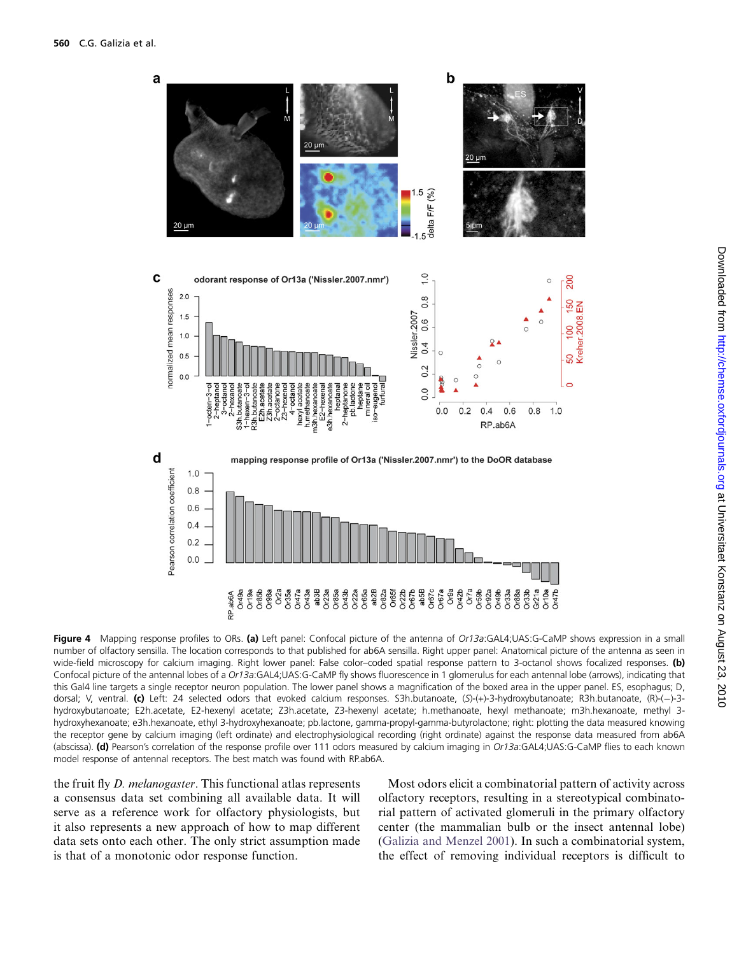<span id="page-9-0"></span>

Figure 4 Mapping response profiles to ORs. (a) Left panel: Confocal picture of the antenna of Or13a:GAL4;UAS:G-CaMP shows expression in a small number of olfactory sensilla. The location corresponds to that published for ab6A sensilla. Right upper panel: Anatomical picture of the antenna as seen in wide-field microscopy for calcium imaging. Right lower panel: False color–coded spatial response pattern to 3-octanol shows focalized responses. (b) Confocal picture of the antennal lobes of a Or13a:GAL4;UAS:G-CaMP fly shows fluorescence in 1 glomerulus for each antennal lobe (arrows), indicating that this Gal4 line targets a single receptor neuron population. The lower panel shows a magnification of the boxed area in the upper panel. ES, esophagus; D, dorsal; V, ventral. (c) Left: 24 selected odors that evoked calcium responses. S3h.butanoate, (S)-(+)-3-hydroxybutanoate; R3h.butanoate, (R)-(-)-3hydroxybutanoate; E2h.acetate, E2-hexenyl acetate; Z3h.acetate, Z3-hexenyl acetate; h.methanoate, hexyl methanoate; m3h.hexanoate, methyl 3 hydroxyhexanoate; e3h.hexanoate, ethyl 3-hydroxyhexanoate; pb.lactone, gamma-propyl-gamma-butyrolactone; right: plotting the data measured knowing the receptor gene by calcium imaging (left ordinate) and electrophysiological recording (right ordinate) against the response data measured from ab6A (abscissa). (d) Pearson's correlation of the response profile over 111 odors measured by calcium imaging in Or13a:GAL4;UAS:G-CaMP flies to each known model response of antennal receptors. The best match was found with RP.ab6A.

the fruit fly D. melanogaster. This functional atlas represents a consensus data set combining all available data. It will serve as a reference work for olfactory physiologists, but it also represents a new approach of how to map different data sets onto each other. The only strict assumption made is that of a monotonic odor response function.

Most odors elicit a combinatorial pattern of activity across olfactory receptors, resulting in a stereotypical combinatorial pattern of activated glomeruli in the primary olfactory center (the mammalian bulb or the insect antennal lobe) ([Galizia and Menzel 2001\)](#page-11-0). In such a combinatorial system, the effect of removing individual receptors is difficult to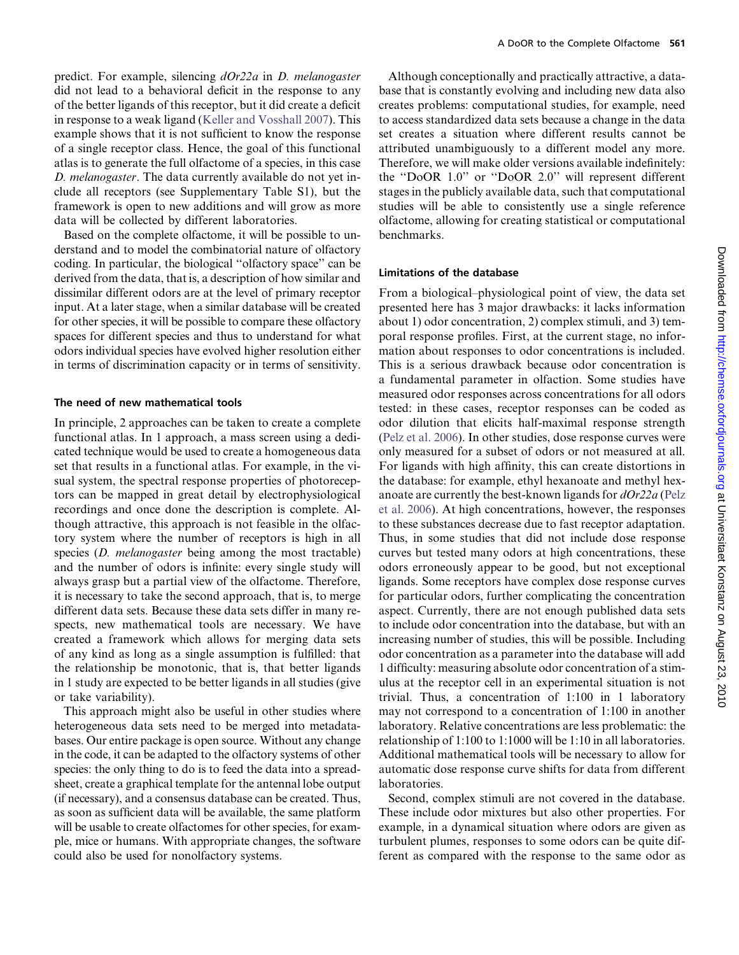predict. For example, silencing dOr22a in D. melanogaster did not lead to a behavioral deficit in the response to any of the better ligands of this receptor, but it did create a deficit in response to a weak ligand ([Keller and Vosshall 2007](#page-11-0)). This example shows that it is not sufficient to know the response of a single receptor class. Hence, the goal of this functional atlas is to generate the full olfactome of a species, in this case D. melanogaster. The data currently available do not yet include all receptors (see Supplementary Table S1), but the framework is open to new additions and will grow as more data will be collected by different laboratories.

Based on the complete olfactome, it will be possible to understand and to model the combinatorial nature of olfactory coding. In particular, the biological ''olfactory space'' can be derived from the data, that is, a description of how similar and dissimilar different odors are at the level of primary receptor input. At a later stage, when a similar database will be created for other species, it will be possible to compare these olfactory spaces for different species and thus to understand for what odors individual species have evolved higher resolution either in terms of discrimination capacity or in terms of sensitivity.

#### The need of new mathematical tools

In principle, 2 approaches can be taken to create a complete functional atlas. In 1 approach, a mass screen using a dedicated technique would be used to create a homogeneous data set that results in a functional atlas. For example, in the visual system, the spectral response properties of photoreceptors can be mapped in great detail by electrophysiological recordings and once done the description is complete. Although attractive, this approach is not feasible in the olfactory system where the number of receptors is high in all species (*D. melanogaster* being among the most tractable) and the number of odors is infinite: every single study will always grasp but a partial view of the olfactome. Therefore, it is necessary to take the second approach, that is, to merge different data sets. Because these data sets differ in many respects, new mathematical tools are necessary. We have created a framework which allows for merging data sets of any kind as long as a single assumption is fulfilled: that the relationship be monotonic, that is, that better ligands in 1 study are expected to be better ligands in all studies (give or take variability).

This approach might also be useful in other studies where heterogeneous data sets need to be merged into metadatabases. Our entire package is open source. Without any change in the code, it can be adapted to the olfactory systems of other species: the only thing to do is to feed the data into a spreadsheet, create a graphical template for the antennal lobe output (if necessary), and a consensus database can be created. Thus, as soon as sufficient data will be available, the same platform will be usable to create olfactomes for other species, for example, mice or humans. With appropriate changes, the software could also be used for nonolfactory systems.

Although conceptionally and practically attractive, a database that is constantly evolving and including new data also creates problems: computational studies, for example, need to access standardized data sets because a change in the data set creates a situation where different results cannot be attributed unambiguously to a different model any more. Therefore, we will make older versions available indefinitely: the ''DoOR 1.0'' or ''DoOR 2.0'' will represent different stages in the publicly available data, such that computational studies will be able to consistently use a single reference olfactome, allowing for creating statistical or computational benchmarks.

#### Limitations of the database

From a biological–physiological point of view, the data set presented here has 3 major drawbacks: it lacks information about 1) odor concentration, 2) complex stimuli, and 3) temporal response profiles. First, at the current stage, no information about responses to odor concentrations is included. This is a serious drawback because odor concentration is a fundamental parameter in olfaction. Some studies have measured odor responses across concentrations for all odors tested: in these cases, receptor responses can be coded as odor dilution that elicits half-maximal response strength [\(Pelz et al. 2006\)](#page-12-0). In other studies, dose response curves were only measured for a subset of odors or not measured at all. For ligands with high affinity, this can create distortions in the database: for example, ethyl hexanoate and methyl hexanoate are currently the best-known ligands for  $dOr22a$  [\(Pelz](#page-12-0) [et al. 2006\)](#page-12-0). At high concentrations, however, the responses to these substances decrease due to fast receptor adaptation. Thus, in some studies that did not include dose response curves but tested many odors at high concentrations, these odors erroneously appear to be good, but not exceptional ligands. Some receptors have complex dose response curves for particular odors, further complicating the concentration aspect. Currently, there are not enough published data sets to include odor concentration into the database, but with an increasing number of studies, this will be possible. Including odor concentration as a parameter into the database will add 1 difficulty: measuring absolute odor concentration of a stimulus at the receptor cell in an experimental situation is not trivial. Thus, a concentration of 1:100 in 1 laboratory may not correspond to a concentration of 1:100 in another laboratory. Relative concentrations are less problematic: the relationship of 1:100 to 1:1000 will be 1:10 in all laboratories. Additional mathematical tools will be necessary to allow for automatic dose response curve shifts for data from different laboratories.

Second, complex stimuli are not covered in the database. These include odor mixtures but also other properties. For example, in a dynamical situation where odors are given as turbulent plumes, responses to some odors can be quite different as compared with the response to the same odor as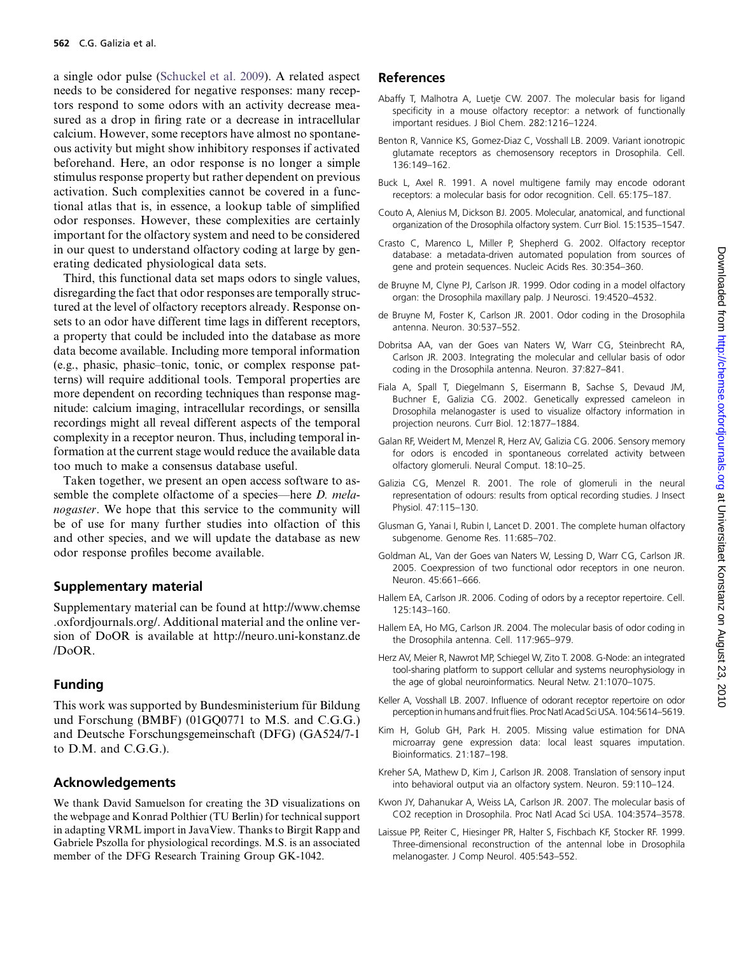<span id="page-11-0"></span>a single odor pulse ([Schuckel et al. 2009\)](#page-12-0). A related aspect needs to be considered for negative responses: many receptors respond to some odors with an activity decrease measured as a drop in firing rate or a decrease in intracellular calcium. However, some receptors have almost no spontaneous activity but might show inhibitory responses if activated beforehand. Here, an odor response is no longer a simple stimulus response property but rather dependent on previous activation. Such complexities cannot be covered in a functional atlas that is, in essence, a lookup table of simplified odor responses. However, these complexities are certainly important for the olfactory system and need to be considered in our quest to understand olfactory coding at large by generating dedicated physiological data sets.

Third, this functional data set maps odors to single values, disregarding the fact that odor responses are temporally structured at the level of olfactory receptors already. Response onsets to an odor have different time lags in different receptors, a property that could be included into the database as more data become available. Including more temporal information (e.g., phasic, phasic–tonic, tonic, or complex response patterns) will require additional tools. Temporal properties are more dependent on recording techniques than response magnitude: calcium imaging, intracellular recordings, or sensilla recordings might all reveal different aspects of the temporal complexity in a receptor neuron. Thus, including temporal information at the current stage would reduce the available data too much to make a consensus database useful.

Taken together, we present an open access software to assemble the complete olfactome of a species—here D. melanogaster. We hope that this service to the community will be of use for many further studies into olfaction of this and other species, and we will update the database as new odor response profiles become available.

## Supplementary material

Supplementary material can be found at http://www.chemse .oxfordjournals.org/. Additional material and the online version of DoOR is available at http://neuro.uni-konstanz.de /DoOR.

## Funding

This work was supported by Bundesministerium für Bildung und Forschung (BMBF) (01GQ0771 to M.S. and C.G.G.) and Deutsche Forschungsgemeinschaft (DFG) (GA524/7-1 to D.M. and C.G.G.).

# Acknowledgements

We thank David Samuelson for creating the 3D visualizations on the webpage and Konrad Polthier (TU Berlin) for technical support in adapting VRML import in JavaView. Thanks to Birgit Rapp and Gabriele Pszolla for physiological recordings. M.S. is an associated member of the DFG Research Training Group GK-1042.

## References

- Abaffy T, Malhotra A, Luetje CW. 2007. The molecular basis for ligand specificity in a mouse olfactory receptor: a network of functionally important residues. J Biol Chem. 282:1216–1224.
- Benton R, Vannice KS, Gomez-Diaz C, Vosshall LB. 2009. Variant ionotropic glutamate receptors as chemosensory receptors in Drosophila. Cell. 136:149–162.
- Buck L, Axel R. 1991. A novel multigene family may encode odorant receptors: a molecular basis for odor recognition. Cell. 65:175–187.
- Couto A, Alenius M, Dickson BJ. 2005. Molecular, anatomical, and functional organization of the Drosophila olfactory system. Curr Biol. 15:1535–1547.
- Crasto C, Marenco L, Miller P, Shepherd G. 2002. Olfactory receptor database: a metadata-driven automated population from sources of gene and protein sequences. Nucleic Acids Res. 30:354–360.
- de Bruyne M, Clyne PJ, Carlson JR. 1999. Odor coding in a model olfactory organ: the Drosophila maxillary palp. J Neurosci. 19:4520–4532.
- de Bruyne M, Foster K, Carlson JR. 2001. Odor coding in the Drosophila antenna. Neuron. 30:537–552.
- Dobritsa AA, van der Goes van Naters W, Warr CG, Steinbrecht RA, Carlson JR. 2003. Integrating the molecular and cellular basis of odor coding in the Drosophila antenna. Neuron. 37:827–841.
- Fiala A, Spall T, Diegelmann S, Eisermann B, Sachse S, Devaud JM, Buchner E, Galizia CG. 2002. Genetically expressed cameleon in Drosophila melanogaster is used to visualize olfactory information in projection neurons. Curr Biol. 12:1877–1884.
- Galan RF, Weidert M, Menzel R, Herz AV, Galizia CG. 2006. Sensory memory for odors is encoded in spontaneous correlated activity between olfactory glomeruli. Neural Comput. 18:10–25.
- Galizia CG, Menzel R. 2001. The role of glomeruli in the neural representation of odours: results from optical recording studies. J Insect Physiol. 47:115–130.
- Glusman G, Yanai I, Rubin I, Lancet D. 2001. The complete human olfactory subgenome. Genome Res. 11:685–702.
- Goldman AL, Van der Goes van Naters W, Lessing D, Warr CG, Carlson JR. 2005. Coexpression of two functional odor receptors in one neuron. Neuron. 45:661–666.
- Hallem EA, Carlson JR. 2006. Coding of odors by a receptor repertoire. Cell. 125:143–160.
- Hallem EA, Ho MG, Carlson JR. 2004. The molecular basis of odor coding in the Drosophila antenna. Cell. 117:965–979.
- Herz AV, Meier R, Nawrot MP, Schiegel W, Zito T. 2008. G-Node: an integrated tool-sharing platform to support cellular and systems neurophysiology in the age of global neuroinformatics. Neural Netw. 21:1070–1075.
- Keller A, Vosshall LB. 2007. Influence of odorant receptor repertoire on odor perception in humans and fruit flies. Proc Natl Acad Sci USA. 104:5614-5619.
- Kim H, Golub GH, Park H. 2005. Missing value estimation for DNA microarray gene expression data: local least squares imputation. Bioinformatics. 21:187–198.
- Kreher SA, Mathew D, Kim J, Carlson JR. 2008. Translation of sensory input into behavioral output via an olfactory system. Neuron. 59:110–124.
- Kwon JY, Dahanukar A, Weiss LA, Carlson JR. 2007. The molecular basis of CO2 reception in Drosophila. Proc Natl Acad Sci USA. 104:3574–3578.
- Laissue PP, Reiter C, Hiesinger PR, Halter S, Fischbach KF, Stocker RF. 1999. Three-dimensional reconstruction of the antennal lobe in Drosophila melanogaster. J Comp Neurol. 405:543–552.